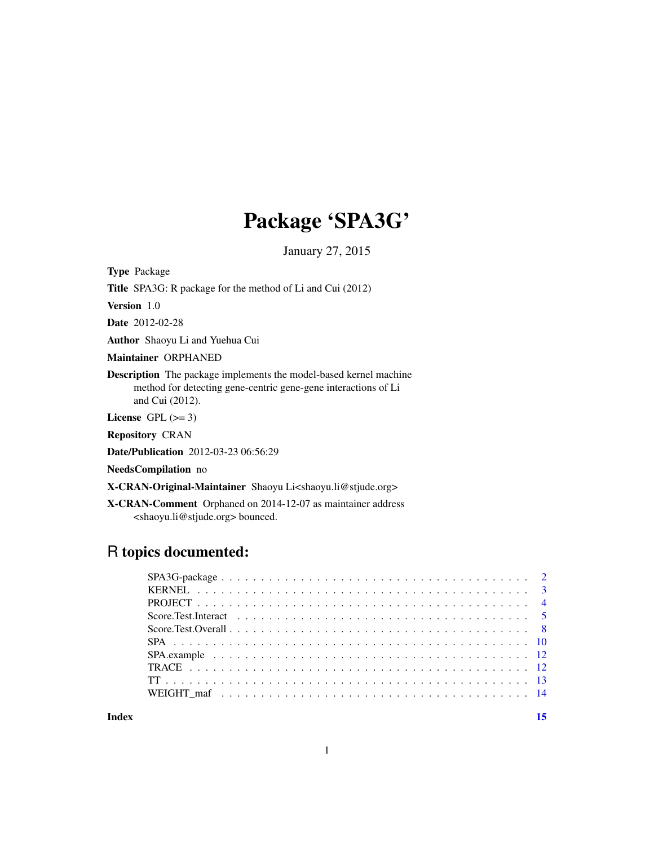## Package 'SPA3G'

January 27, 2015

Type Package

Title SPA3G: R package for the method of Li and Cui (2012)

Version 1.0

Date 2012-02-28

Author Shaoyu Li and Yuehua Cui

Maintainer ORPHANED

Description The package implements the model-based kernel machine method for detecting gene-centric gene-gene interactions of Li and Cui (2012).

License GPL  $(>= 3)$ 

Repository CRAN

Date/Publication 2012-03-23 06:56:29

NeedsCompilation no

X-CRAN-Original-Maintainer Shaoyu Li<shaoyu.li@stjude.org>

X-CRAN-Comment Orphaned on 2014-12-07 as maintainer address <shaoyu.li@stjude.org> bounced.

### R topics documented:

**Index** [15](#page-14-0)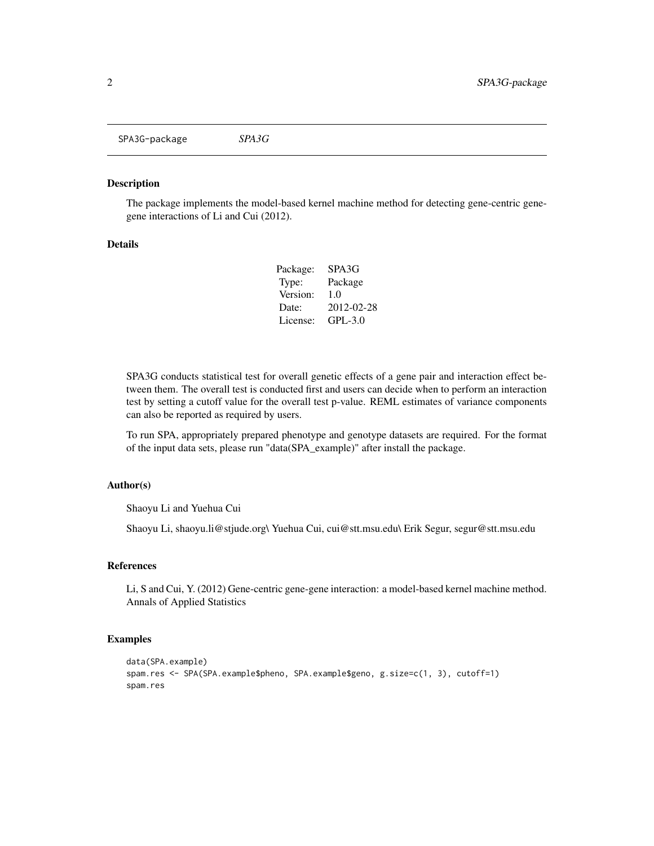<span id="page-1-0"></span>SPA3G-package *SPA3G*

#### Description

The package implements the model-based kernel machine method for detecting gene-centric genegene interactions of Li and Cui (2012).

#### Details

| Package: | SPA3G       |
|----------|-------------|
| Type:    | Package     |
| Version: | 1.0         |
| Date:    | 2012-02-28  |
| License: | $GPI - 3.0$ |

SPA3G conducts statistical test for overall genetic effects of a gene pair and interaction effect between them. The overall test is conducted first and users can decide when to perform an interaction test by setting a cutoff value for the overall test p-value. REML estimates of variance components can also be reported as required by users.

To run SPA, appropriately prepared phenotype and genotype datasets are required. For the format of the input data sets, please run "data(SPA\_example)" after install the package.

#### Author(s)

Shaoyu Li and Yuehua Cui

Shaoyu Li, shaoyu.li@stjude.org\ Yuehua Cui, cui@stt.msu.edu\ Erik Segur, segur@stt.msu.edu

#### References

Li, S and Cui, Y. (2012) Gene-centric gene-gene interaction: a model-based kernel machine method. Annals of Applied Statistics

```
data(SPA.example)
spam.res <- SPA(SPA.example$pheno, SPA.example$geno, g.size=c(1, 3), cutoff=1)
spam.res
```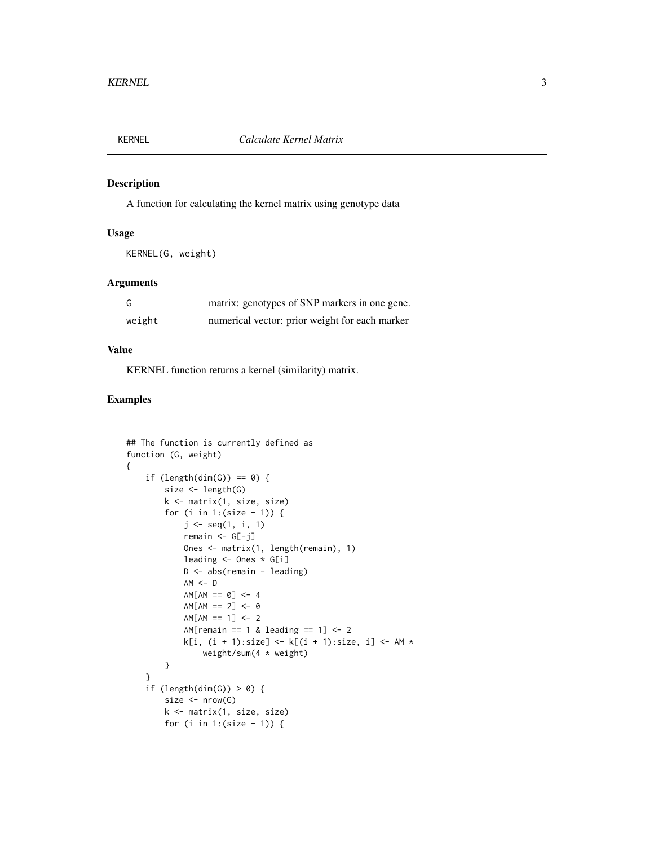<span id="page-2-0"></span>

#### Description

A function for calculating the kernel matrix using genotype data

#### Usage

KERNEL(G, weight)

#### Arguments

| G      | matrix: genotypes of SNP markers in one gene.  |
|--------|------------------------------------------------|
| weight | numerical vector: prior weight for each marker |

#### Value

KERNEL function returns a kernel (similarity) matrix.

```
## The function is currently defined as
function (G, weight)
{
    if (length(dim(G)) == 0) {
        size <- length(G)
        k <- matrix(1, size, size)
        for (i in 1:(size -1)) {
            j \leq - seq(1, i, 1)remain < -G[-j]Ones <- matrix(1, length(remain), 1)
            leading <- Ones * G[i]
            D <- abs(remain - leading)
            AM < - DAM[AM == 0] < -4AM[AM == 2] < -0AM[AM == 1] < -2AM[remain == 1 & leading == 1] \leftarrow 2k[i, (i + 1):size] \leftarrow k[(i + 1):size, i] \leftarrow AM *weight/sum(4 * weight)
        }
    }
    if (length(dim(G)) > 0) {
        size \leftarrow nrow(G)k <- matrix(1, size, size)
        for (i in 1:(size - 1)) {
```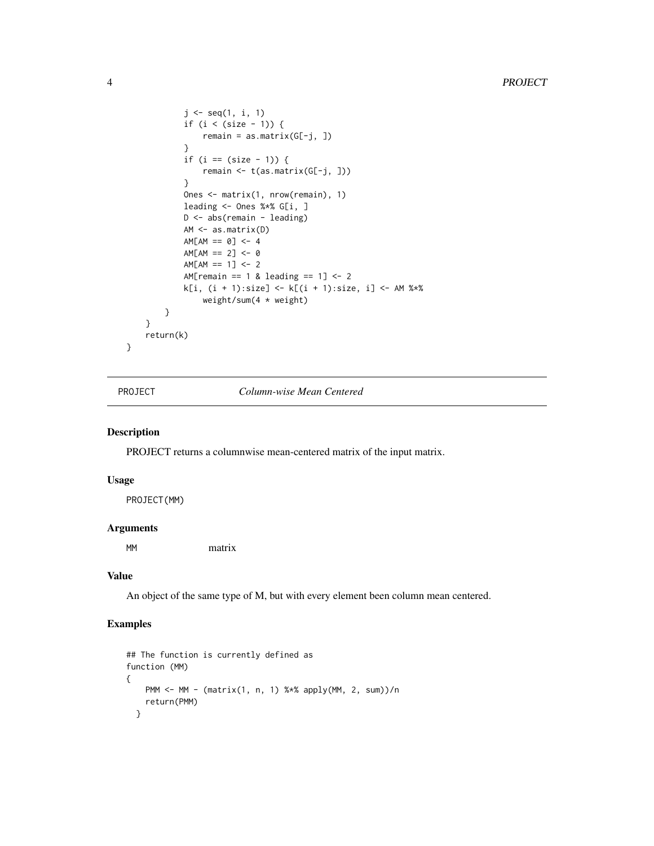```
j \leq - seq(1, i, 1)
            if (i < (size - 1)) {
                remain = as.matrix(G[-j, ])
            }
            if (i == (size - 1)) {
                remain <- t(as.matrix(G[-j, ]))
            }
            Ones <- matrix(1, nrow(remain), 1)
            leading <- Ones %*% G[i, ]
            D <- abs(remain - leading)
            AM <- as.matrix(D)
            AM[AM == 0] < -4AM[AM == 2] < -0AM[AM == 1] < -2AM[remain == 1 & leading == 1] <- 2
            k[i, (i + 1):size] \leftarrow k[(i + 1):size, i] \leftarrow AM %*%
                weight/sum(4 * weight)
        }
    }
    return(k)
}
```
PROJECT *Column-wise Mean Centered*

#### Description

PROJECT returns a columnwise mean-centered matrix of the input matrix.

#### Usage

PROJECT(MM)

#### Arguments

MM matrix

#### Value

An object of the same type of M, but with every element been column mean centered.

```
## The function is currently defined as
function (MM)
{
   PMM <- MM - (matrix(1, n, 1) %*% apply(MM, 2, sum))/n
   return(PMM)
  }
```
<span id="page-3-0"></span>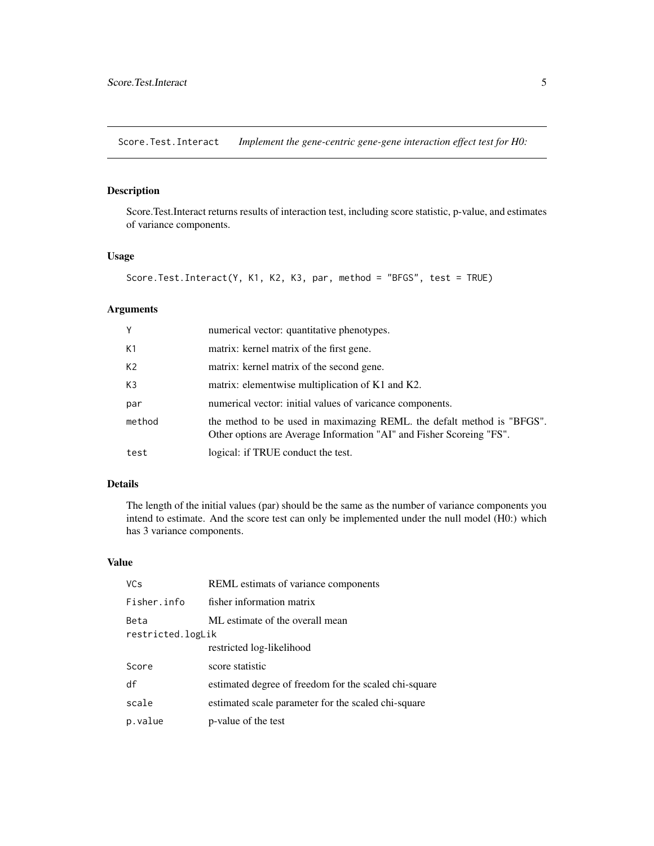<span id="page-4-0"></span>Score.Test.Interact *Implement the gene-centric gene-gene interaction effect test for H0:*

#### Description

Score.Test.Interact returns results of interaction test, including score statistic, p-value, and estimates of variance components.

#### Usage

```
Score.Test.Interact(Y, K1, K2, K3, par, method = "BFGS", test = TRUE)
```
#### Arguments

| Y              | numerical vector: quantitative phenotypes.                                                                                                     |
|----------------|------------------------------------------------------------------------------------------------------------------------------------------------|
| K1             | matrix: kernel matrix of the first gene.                                                                                                       |
| K <sub>2</sub> | matrix: kernel matrix of the second gene.                                                                                                      |
| K3             | matrix: elementwise multiplication of K1 and K2.                                                                                               |
| par            | numerical vector: initial values of varicance components.                                                                                      |
| method         | the method to be used in maximazing REML, the defalt method is "BFGS".<br>Other options are Average Information "AI" and Fisher Scoreing "FS". |
| test           | logical: if TRUE conduct the test.                                                                                                             |

#### Details

The length of the initial values (par) should be the same as the number of variance components you intend to estimate. And the score test can only be implemented under the null model (H0:) which has 3 variance components.

#### Value

| <b>VCs</b>        | REML estimats of variance components                  |  |
|-------------------|-------------------------------------------------------|--|
| Fisher.info       | fisher information matrix                             |  |
| Beta              | ML estimate of the overall mean                       |  |
| restricted.logLik |                                                       |  |
|                   | restricted log-likelihood                             |  |
| Score             | score statistic                                       |  |
| df                | estimated degree of freedom for the scaled chi-square |  |
| scale             | estimated scale parameter for the scaled chi-square   |  |
| p.value           | p-value of the test                                   |  |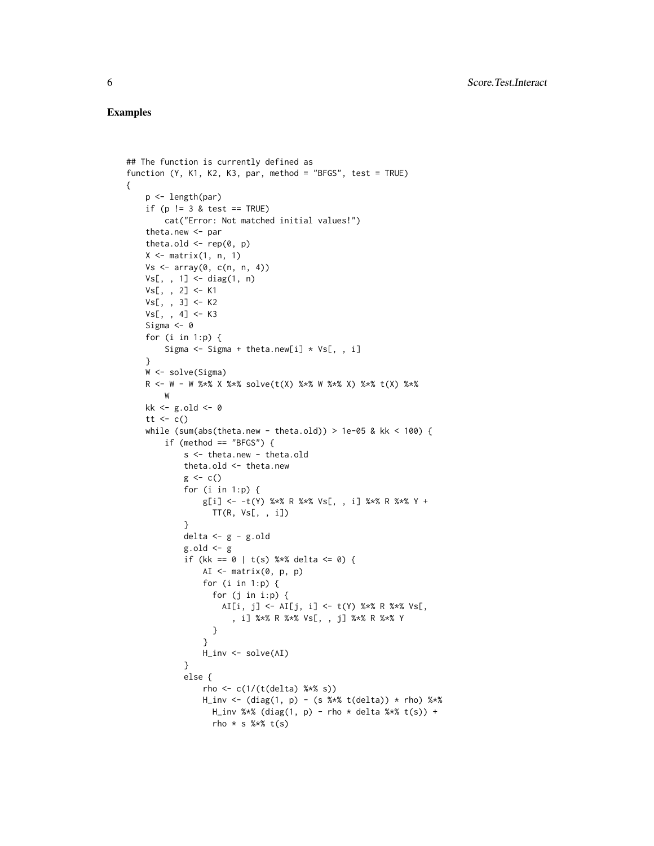#### Examples

{

```
## The function is currently defined as
function (Y, K1, K2, K3, par, method = "BFGS", test = TRUE)
    p <- length(par)
    if (p != 3 & test == TRUE)
        cat("Error: Not matched initial values!")
    theta.new <- par
    theta.old \leq rep(0, p)
    X \leq - matrix(1, n, 1)
    Vs < - array(0, c(n, n, 4))Vs[,, 1] <- diag(1, n)
    Vs[, , 2] <- K1
    Vs[, , 3] <- K2
    Vs[, , 4] < - K3Sigma <-0for (i in 1:p) {
        Sigma <- Sigma + theta.new[i] * Vs[, , i]
    }
    W <- solve(Sigma)
    R <- W - W %*% X %*% solve(t(X) %*% W %*% X) %*% t(X) %*%
        W
    kk <- g.old <- 0
    tt \leftarrow c()
    while (sum(abs(theta.new - theta.old)) > 1e-05 & kk < 100) {
        if (method == "BFGS") \{s <- theta.new - theta.old
            theta.old <- theta.new
            g \leftarrow c()for (i in 1:p) {
                g[i] <- -t(Y) %*% R %*% Vs[, , i] %*% R %*% Y +
                  TT(R, Vs[, , i])
            }
            delta <- g - g.old
            g.old \leftarrow gif (kk == 0 | t(s) %*% delta <= 0) {
                AI <- matrix(0, p, p)
                for (i in 1:p) \{for (j in i:p) {
                    AI[i, j] <- AI[j, i] <- t(Y) %*% R %*% Vs[,
                       , i] %*% R %*% Vs[, , j] %*% R %*% Y
                  }
                }
                H_inv <- solve(AI)
            }
            else {
                rho <- c(1/(t(delta) % <i>k</i>*) )H_inv \leftarrow (diag(1, p) - (s %*) (delta)) * rho) %H_inv %*% (diag(1, p) - rho * delta %*% t(s)) +
                  rho * s % * t(s)
```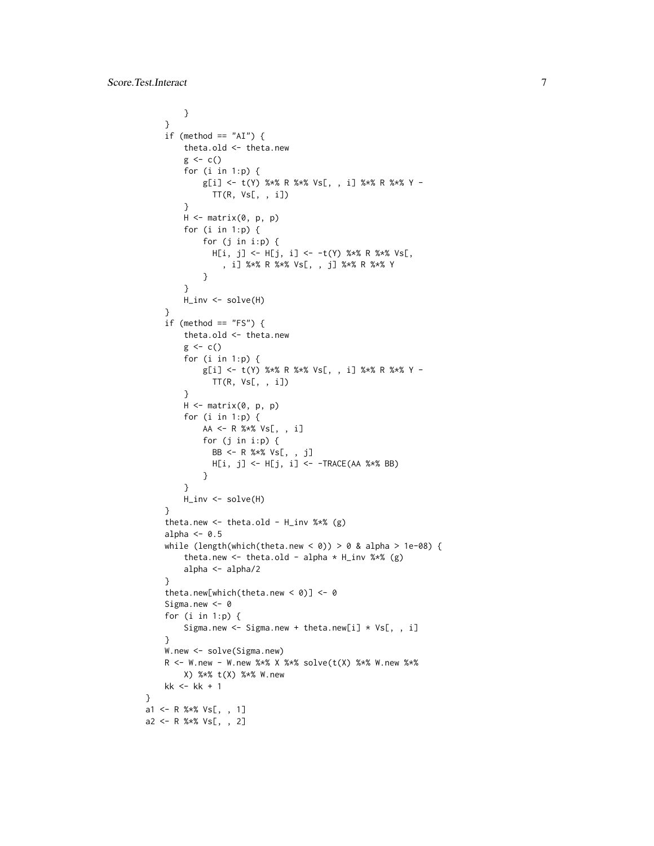```
}
   }
    if (method == "AI") {
        theta.old <- theta.new
        g \leftarrow c()for (i in 1:p) {
            g[i] <- t(Y) %*% R %*% Vs[, , i] %*% R %*% Y -
              TT(R, Vs[, , i])
        }
        H <- matrix(0, p, p)
        for (i in 1:p) {
            for (j in i:p) {
              H[i, j] <- H[j, i] <- -t(Y) %*% R %*% Vs[,
                , i] %*% R %*% Vs[, , j] %*% R %*% Y
            }
        }
        H_inv <- solve(H)
    }
    if (method == "FS") {
        theta.old <- theta.new
        g \leftarrow c()for (i in 1:p) {
            g[i] <- t(Y) %*% R %*% Vs[, , i] %*% R %*% Y -
              TT(R, Vs[, , i])
        }
        H \leq - matrix(0, p, p)
        for (i in 1:p) {
            AA <- R %*% Vs[, , i]
            for (j in i:p) {
             BB <- R %*% Vs[, , j]
              H[i, j] <- H[j, i] <- -TRACE(AA %*% BB)
            }
        }
        H_inv <- solve(H)
    }
    theta.new <- theta.old - H_inv %*% (g)
    alpha <-0.5while (length(which(theta.new < 0)) > 0 & alpha > 1e-08) {
        theta.new \le theta.old - alpha * H_inv %*% (g)
        alpha <- alpha/2
    }
    theta.new[which(theta.new < 0)] <- 0
    Sigma.new <- 0
    for (i in 1:p) {
        Sigma.new <- Sigma.new + theta.new[i] * Vs[, , i]
    }
    W.new <- solve(Sigma.new)
    R <- W.new - W.new %*% X %*% solve(t(X) %*% W.new %*%
        X) %*% t(X) %*% W.new
   kk <- kk + 1
}
a1 <- R %*% Vs[, , 1]
a2 <- R %*% Vs[, , 2]
```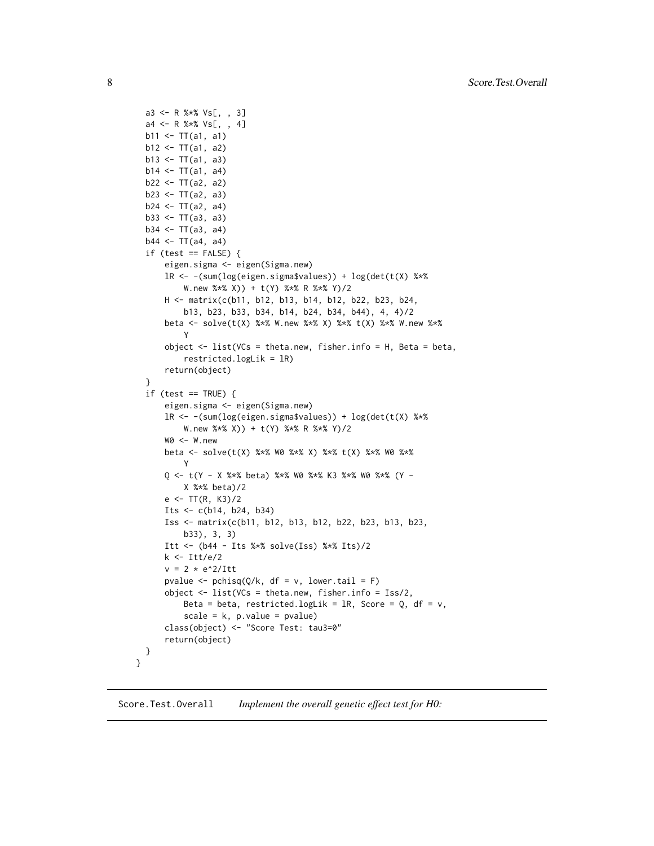```
a3 <- R %*% Vs[, , 3]
  a4 <- R %*% Vs[, , 4]
 b11 <- TT(a1, a1)
 b12 \leftarrow TT(a1, a2)b13 \leftarrow TT(a1, a3)b14 < -TT(a1, a4)b22 < -TT(a2, a2)b23 \le TT(a2, a3)b24 < -TT(a2, a4)b33 \leftarrow TT(a3, a3)b34 < -TT(a3, a4)b44 < - T T(a4, a4)if (test == FALSE)eigen.sigma <- eigen(Sigma.new)
      lR <- -(sum(log(eigen.sigma$values)) + log(det(t(X) %*%
          W.new %*% X)) + t(Y) %*% R %*% Y)/2
      H <- matrix(c(b11, b12, b13, b14, b12, b22, b23, b24,
          b13, b23, b33, b34, b14, b24, b34, b44), 4, 4)/2
      beta <- solve(t(X) %*% W.new %*% X) %*% t(X) %*% W.new %*%
          Y
      object <- list(VCs = theta.new, fisher.info = H, Beta = beta,
          restricted.logLik = lR)
      return(object)
  }
  if (test == TRUE) {
      eigen.sigma <- eigen(Sigma.new)
      lR <- -(sum(log(eigen.sigma$values)) + log(det(t(X) %*%
          W.new %*% X)) + t(Y) %*% R %*% Y)/2
      W0 <- W.new
      beta <- solve(t(X) %*% W0 %*% X) %*% t(X) %*% W0 %*%
          Y
      Q \le -t(Y - X \times X) beta) X \times X wo X \times X K3 X \times X wo X \times X (Y -
          X %*% beta)/2
      e \leftarrow TT(R, K3)/2Its \leq c(b14, b24, b34)
      Iss <- matrix(c(b11, b12, b13, b12, b22, b23, b13, b23,
          b33), 3, 3)
      Itt <- (b44 - Its %*% solve(Iss) %*% Its)/2
      k <- Itt/e/2
      v = 2 * e^2/Ittpvalue <- pchisq(Q/k, df = v, lower.tail = F)
      object <- list(VCs = theta.new, fisher.info = Iss/2,
          Beta = beta, restricted.logLik = lR, Score = Q, df = v,
          scale = k, p.value = pvalue)
      class(object) <- "Score Test: tau3=0"
      return(object)
 }
}
```
Score.Test.Overall *Implement the overall genetic effect test for H0:*

<span id="page-7-0"></span>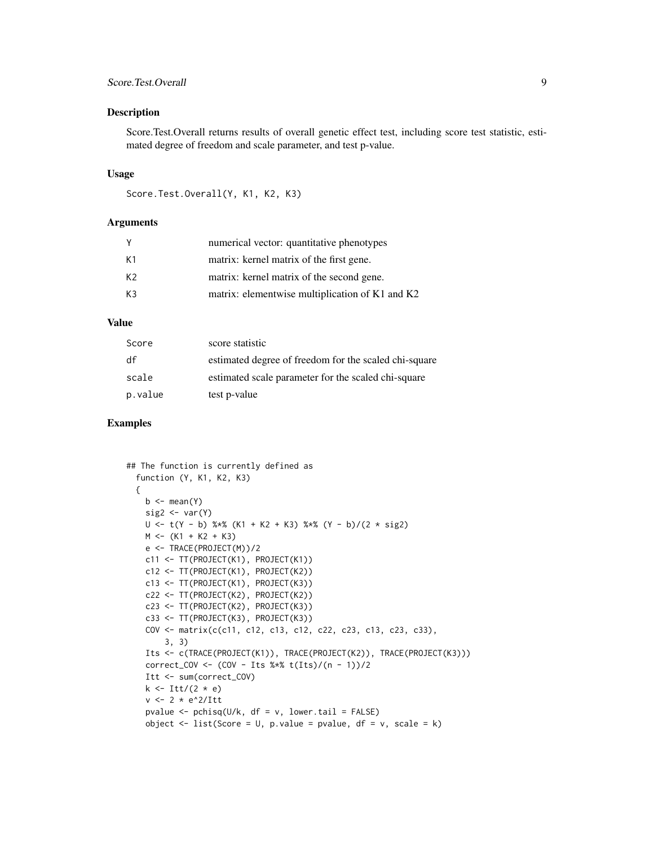#### Score.Test.Overall 9

#### Description

Score.Test.Overall returns results of overall genetic effect test, including score test statistic, estimated degree of freedom and scale parameter, and test p-value.

#### Usage

```
Score.Test.Overall(Y, K1, K2, K3)
```
#### Arguments

| - Y | numerical vector: quantitative phenotypes       |
|-----|-------------------------------------------------|
| K1  | matrix: kernel matrix of the first gene.        |
| K2  | matrix: kernel matrix of the second gene.       |
| K3  | matrix: elementwise multiplication of K1 and K2 |
|     |                                                 |

#### Value

| Score   | score statistic                                       |
|---------|-------------------------------------------------------|
| df      | estimated degree of freedom for the scaled chi-square |
| scale   | estimated scale parameter for the scaled chi-square   |
| p.value | test p-value                                          |

```
## The function is currently defined as
 function (Y, K1, K2, K3)
 {
   b \leftarrow \text{mean}(Y)sig2 \leq var(Y)U <- t(Y - b) %*% (K1 + K2 + K3) %*% (Y - b)/(2 * sig2)
   M \leftarrow (K1 + K2 + K3)e <- TRACE(PROJECT(M))/2
   c11 <- TT(PROJECT(K1), PROJECT(K1))
   c12 <- TT(PROJECT(K1), PROJECT(K2))
   c13 <- TT(PROJECT(K1), PROJECT(K3))
    c22 <- TT(PROJECT(K2), PROJECT(K2))
   c23 <- TT(PROJECT(K2), PROJECT(K3))
   c33 <- TT(PROJECT(K3), PROJECT(K3))
    COV <- matrix(c(c11, c12, c13, c12, c22, c23, c13, c23, c33),
        3, 3)
    Its <- c(TRACE(PROJECT(K1)), TRACE(PROJECT(K2)), TRACE(PROJECT(K3)))
    correct_COV <- (COV - Its %*% t(Its)/(n - 1))/2
    Itt <- sum(correct_COV)
    k \leftarrow Itt/(2 * e)
    v <- 2 * e^2/Itt
    pvalue \leq pchisq(U/k, df = v, lower.tail = FALSE)
    object \le list(Score = U, p.value = pvalue, df = v, scale = k)
```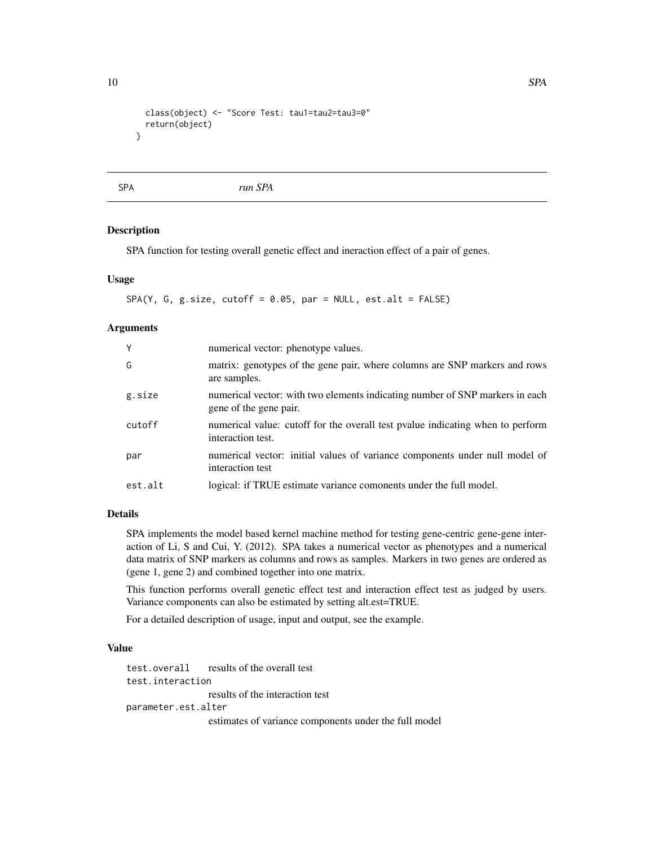```
class(object) <- "Score Test: tau1=tau2=tau3=0"
  return(object)
}
```
SPA *run SPA*

#### Description

SPA function for testing overall genetic effect and ineraction effect of a pair of genes.

#### Usage

 $SPA(Y, G, g.size, cutoff = 0.05, par = NULL, est.alt = FALSE)$ 

#### Arguments

| Y       | numerical vector: phenotype values.                                                                    |
|---------|--------------------------------------------------------------------------------------------------------|
| G       | matrix: genotypes of the gene pair, where columns are SNP markers and rows<br>are samples.             |
| g.size  | numerical vector: with two elements indicating number of SNP markers in each<br>gene of the gene pair. |
| cutoff  | numerical value: cutoff for the overall test pyalue indicating when to perform<br>interaction test.    |
| par     | numerical vector: initial values of variance components under null model of<br>interaction test        |
| est.alt | logical: if TRUE estimate variance comonents under the full model.                                     |

#### Details

SPA implements the model based kernel machine method for testing gene-centric gene-gene interaction of Li, S and Cui, Y. (2012). SPA takes a numerical vector as phenotypes and a numerical data matrix of SNP markers as columns and rows as samples. Markers in two genes are ordered as (gene 1, gene 2) and combined together into one matrix.

This function performs overall genetic effect test and interaction effect test as judged by users. Variance components can also be estimated by setting alt.est=TRUE.

For a detailed description of usage, input and output, see the example.

#### Value

test.overall results of the overall test test.interaction results of the interaction test parameter.est.alter estimates of variance components under the full model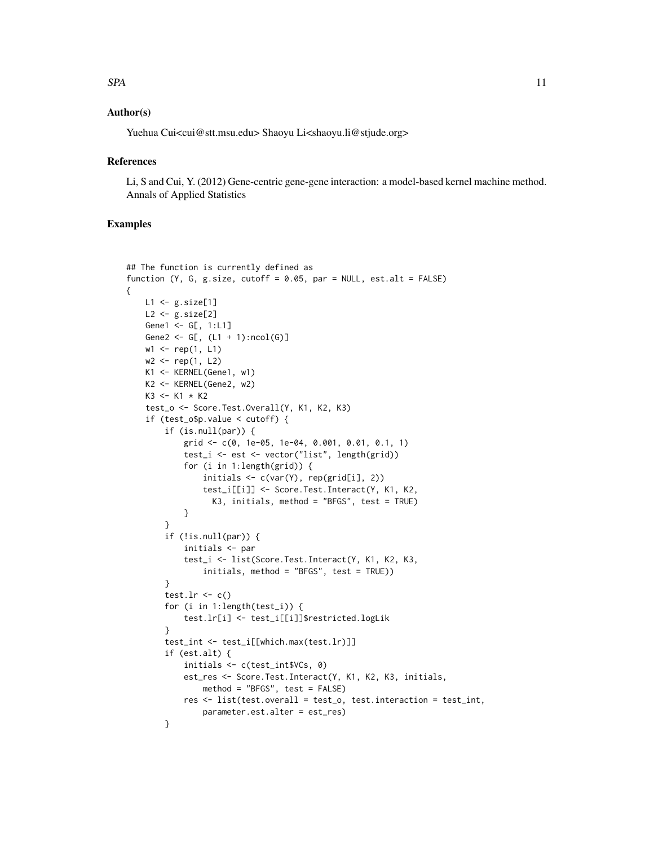#### $SPA$  11

#### Author(s)

Yuehua Cui<cui@stt.msu.edu> Shaoyu Li<shaoyu.li@stjude.org>

#### **References**

Li, S and Cui, Y. (2012) Gene-centric gene-gene interaction: a model-based kernel machine method. Annals of Applied Statistics

#### Examples

{

```
## The function is currently defined as
function (Y, G, g.size, cutoff = 0.05, par = NULL, est.alt = FALSE)
   L1 <- g.size[1]
   L2 <- g.size[2]
   Gene1 <- G[, 1:L1]
   Gene2 <- G[, (L1 + 1):ncol(G)]
   w1 \leq -rep(1, L1)w2 \le - rep(1, L2)
   K1 <- KERNEL(Gene1, w1)
   K2 <- KERNEL(Gene2, w2)
   K3 < - K1 * K2test_o <- Score.Test.Overall(Y, K1, K2, K3)
    if (test_o$p.value < cutoff) {
        if (is.null(par)) {
            grid <- c(0, 1e-05, 1e-04, 0.001, 0.01, 0.1, 1)
            test_i <- est <- vector("list", length(grid))
            for (i in 1:length(grid)) {
                initials <- c(var(Y), rep(grid[i], 2))
                test_i[[i]] <- Score.Test.Interact(Y, K1, K2,
                  K3, initials, method = "BFGS", test = TRUE)
            }
        }
        if (!is.null(par)) {
            initials <- par
            test_i <- list(Score.Test.Interact(Y, K1, K2, K3,
                initials, method = "BFGS", test = TRUE))
        }
        test.lr \leq c()
        for (i in 1:length(test_i)) {
            test.lr[i] <- test_i[[i]]$restricted.logLik
        }
        test_int <- test_i[[which.max(test.lr)]]
        if (est.alt) {
            initials <- c(test_int$VCs, 0)
            est_res <- Score.Test.Interact(Y, K1, K2, K3, initials,
                method = "BFGS", test = FALSE)
            res <- list(test.overall = test_o, test.interaction = test_int,
                parameter.est.alter = est_res)
        }
```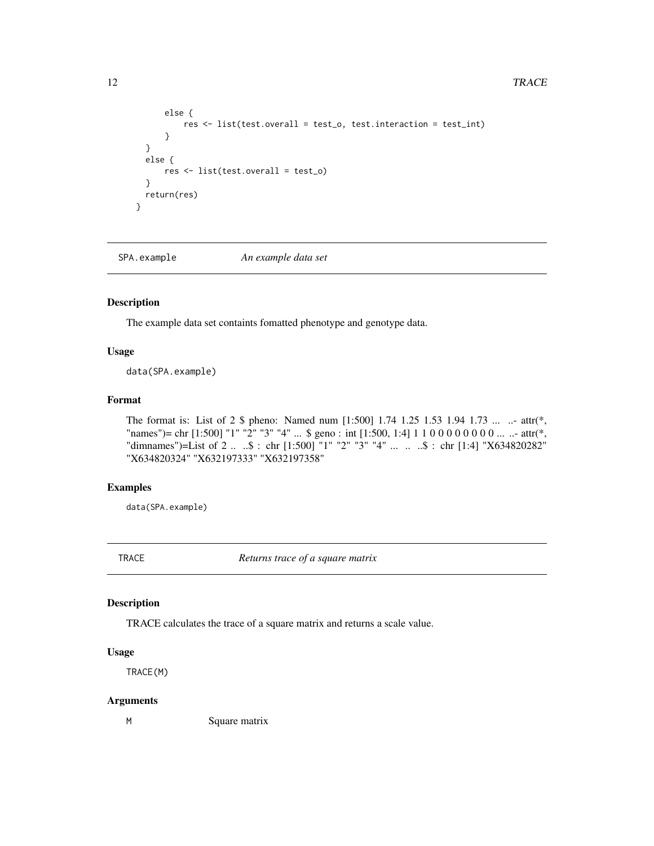```
else {
          res <- list(test.overall = test_o, test.interaction = test_int)
      }
  }
 else {
     res <- list(test.overall = test_o)
  }
 return(res)
}
```
SPA.example *An example data set*

#### Description

The example data set containts fomatted phenotype and genotype data.

#### Usage

data(SPA.example)

#### Format

The format is: List of 2 \$ pheno: Named num [1:500] 1.74 1.25 1.53 1.94 1.73 ... ... attr(\*, "names")= chr [1:500] "1" "2" "3" "4" ... \$ geno : int [1:500, 1:4] 1 1 0 0 0 0 0 0 0 0 ... ..- attr(\*, "dimnames")=List of 2 .. ..\$ : chr [1:500] "1" "2" "3" "4" ... .. ..\$ : chr [1:4] "X634820282" "X634820324" "X632197333" "X632197358"

#### Examples

data(SPA.example)

TRACE *Returns trace of a square matrix*

#### Description

TRACE calculates the trace of a square matrix and returns a scale value.

#### Usage

TRACE(M)

#### Arguments

M Square matrix

<span id="page-11-0"></span>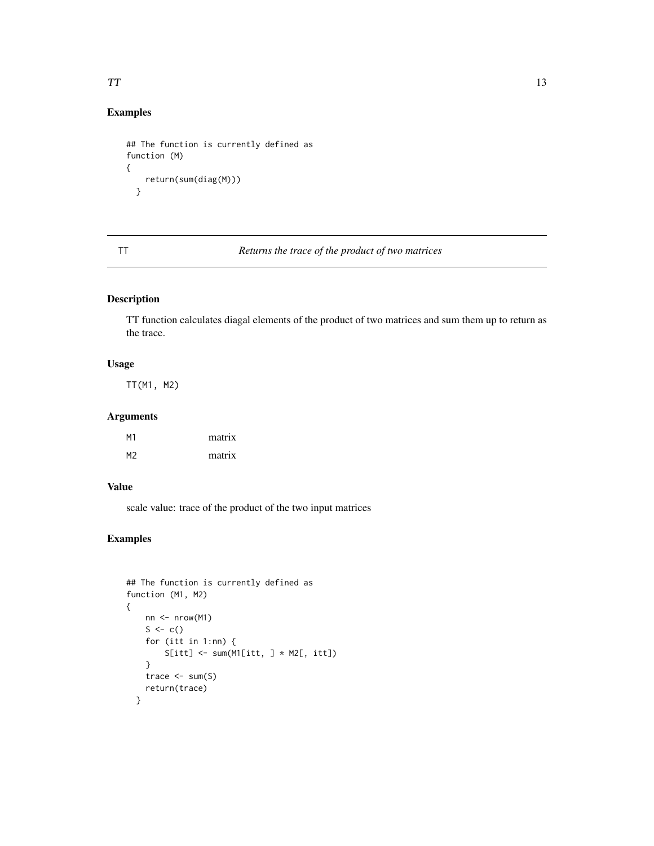#### <span id="page-12-0"></span>Examples

```
## The function is currently defined as
function (M)
{
   return(sum(diag(M)))
  }
```
#### TT *Returns the trace of the product of two matrices*

#### Description

TT function calculates diagal elements of the product of two matrices and sum them up to return as the trace.

#### Usage

TT(M1, M2)

#### Arguments

| M <sub>1</sub> | matrix |
|----------------|--------|
| M <sub>2</sub> | matrix |

#### Value

scale value: trace of the product of the two input matrices

```
## The function is currently defined as
function (M1, M2)
{
    nn <- nrow(M1)
    S \leftarrow c()for (itt in 1:nn) {
        S[itt] \leftarrow sum(M1[itt, ] * M2[, itt])}
    trace <-sum(S)return(trace)
  }
```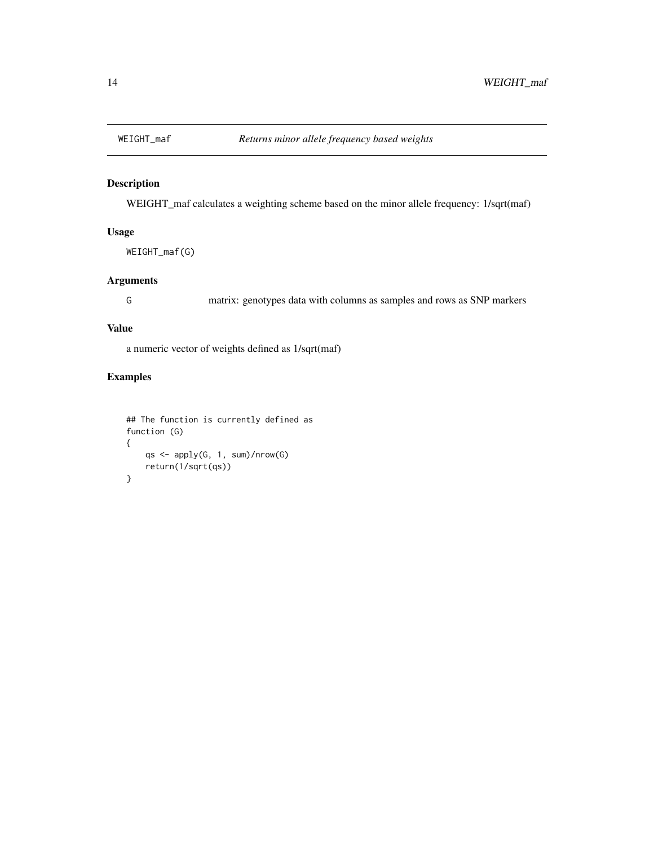<span id="page-13-0"></span>

#### Description

WEIGHT\_maf calculates a weighting scheme based on the minor allele frequency: 1/sqrt(maf)

#### Usage

```
WEIGHT_maf(G)
```
#### Arguments

G matrix: genotypes data with columns as samples and rows as SNP markers

#### Value

a numeric vector of weights defined as 1/sqrt(maf)

```
## The function is currently defined as
function (G)
{
   qs <- apply(G, 1, sum)/nrow(G)
   return(1/sqrt(qs))
}
```